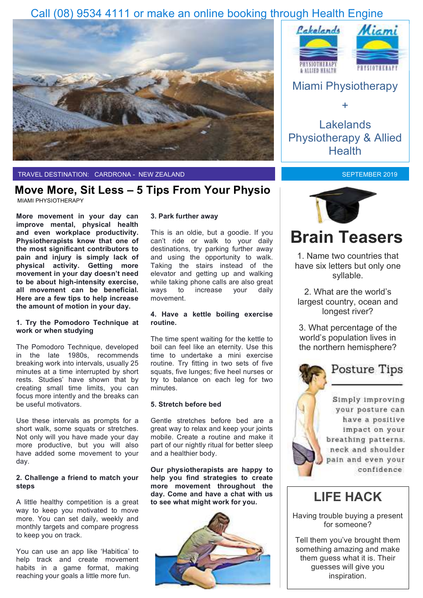### Call (08) 9534 4111 or make an online booking through Health Engine



TRAVEL DESTINATION: CARDRONA - NEW ZEALAND

### **Move More, Sit Less – 5 Tips From Your Physio**

MIAMI PHYSIOTHERAPY

**More movement in your day can improve mental, physical health and even workplace productivity. Physiotherapists know that one of the most significant contributors to pain and injury is simply lack of physical activity. Getting more movement in your day doesn't need to be about high-intensity exercise, all movement can be beneficial. Here are a few tips to help increase the amount of motion in your day.**

### **1. Try the Pomodoro Technique at work or when studying**

The Pomodoro Technique, developed in the late 1980s, recommends breaking work into intervals, usually 25 minutes at a time interrupted by short rests. Studies' have shown that by creating small time limits, you can focus more intently and the breaks can be useful motivators.

Use these intervals as prompts for a short walk, some squats or stretches. Not only will you have made your day more productive, but you will also have added some movement to your day.

### **2. Challenge a friend to match your steps**

A little healthy competition is a great way to keep you motivated to move more. You can set daily, weekly and monthly targets and compare progress to keep you on track.

You can use an app like 'Habitica' to help track and create movement habits in a game format, making reaching your goals a little more fun.

### **3. Park further away**

This is an oldie, but a goodie. If you can't ride or walk to your daily destinations, try parking further away and using the opportunity to walk. Taking the stairs instead of the elevator and getting up and walking while taking phone calls are also great ways to increase your daily movement.

### **4. Have a kettle boiling exercise routine.**

The time spent waiting for the kettle to boil can feel like an eternity. Use this time to undertake a mini exercise routine. Try fitting in two sets of five squats, five lunges; five heel nurses or try to balance on each leg for two minutes.

#### **5. Stretch before bed**

Gentle stretches before bed are a great way to relax and keep your joints mobile. Create a routine and make it part of our nightly ritual for better sleep and a healthier body.

**Our physiotherapists are happy to help you find strategies to create more movement throughout the day. Come and have a chat with us to see what might work for you.** 





### Miami Physiotherapy

+

Lakelands Physiotherapy & Allied **Health** 

### SEPTEMBER 2019



## **Brain Teasers**

1. Name two countries that have six letters but only one syllable.

2. What are the world's largest country, ocean and longest river?

3. What percentage of the world's population lives in the northern hemisphere?

### **Posture Tips**

Simply improving your posture can have a positive impact on your breathing patterns. neck and shoulder pain and even your confidence

### **LIFE HACK**

Having trouble buying a present for someone?

Tell them you've brought them something amazing and make them guess what it is. Their guesses will give you inspiration.